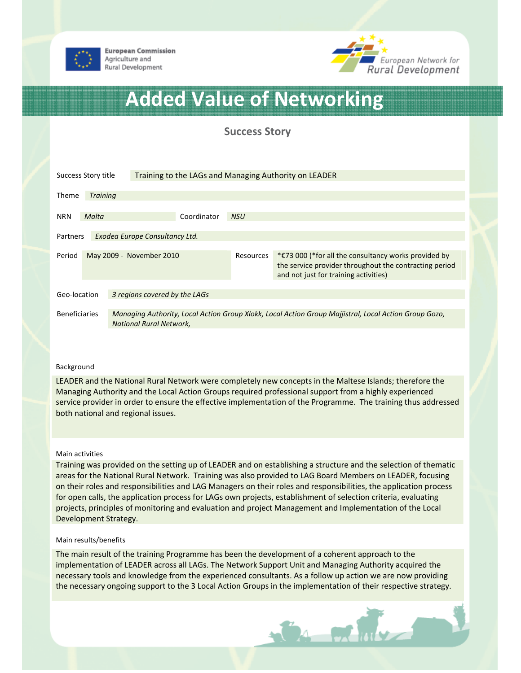

**European Commission** Agriculture and Rural Development



# Added Value of Networking

Success Story

| Success Story title                        |                          |                                                                                                                                         | Training to the LAGs and Managing Authority on LEADER |            |                                                                                                                                                                    |  |
|--------------------------------------------|--------------------------|-----------------------------------------------------------------------------------------------------------------------------------------|-------------------------------------------------------|------------|--------------------------------------------------------------------------------------------------------------------------------------------------------------------|--|
| <b>Theme</b>                               | <b>Training</b>          |                                                                                                                                         |                                                       |            |                                                                                                                                                                    |  |
| <b>NRN</b>                                 | Malta                    |                                                                                                                                         | Coordinator                                           | <b>NSU</b> |                                                                                                                                                                    |  |
| Exodea Europe Consultancy Ltd.<br>Partners |                          |                                                                                                                                         |                                                       |            |                                                                                                                                                                    |  |
| Period                                     | May 2009 - November 2010 |                                                                                                                                         |                                                       | Resources  | * $\epsilon$ 73 000 (*for all the consultancy works provided by<br>the service provider throughout the contracting period<br>and not just for training activities) |  |
| Geo-location                               |                          | 3 regions covered by the LAGs                                                                                                           |                                                       |            |                                                                                                                                                                    |  |
| <b>Beneficiaries</b>                       |                          | Managing Authority, Local Action Group Xlokk, Local Action Group Majjistral, Local Action Group Gozo,<br><b>National Rural Network,</b> |                                                       |            |                                                                                                                                                                    |  |

### Background

LEADER and the National Rural Network were completely new concepts in the Maltese Islands; therefore the Managing Authority and the Local Action Groups required professional support from a highly experienced service provider in order to ensure the effective implementation of the Programme. The training thus addressed both national and regional issues.

#### Main activities

Training was provided on the setting up of LEADER and on establishing a structure and the selection of thematic areas for the National Rural Network. Training was also provided to LAG Board Members on LEADER, focusing on their roles and responsibilities and LAG Managers on their roles and responsibilities, the application process for open calls, the application process for LAGs own projects, establishment of selection criteria, evaluating projects, principles of monitoring and evaluation and project Management and Implementation of the Local Development Strategy.

#### Main results/benefits

The main result of the training Programme has been the development of a coherent approach to the implementation of LEADER across all LAGs. The Network Support Unit and Managing Authority acquired the necessary tools and knowledge from the experienced consultants. As a follow up action we are now providing the necessary ongoing support to the 3 Local Action Groups in the implementation of their respective strategy.